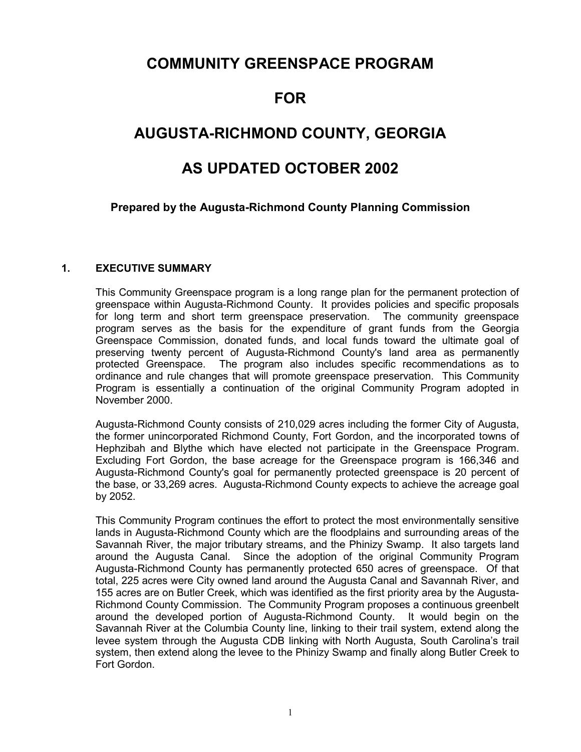# **COMMUNITY GREENSPACE PROGRAM**

# **FOR**

# **AUGUSTA-RICHMOND COUNTY, GEORGIA**

# **AS UPDATED OCTOBER 2002**

# **Prepared by the Augusta-Richmond County Planning Commission**

# **1. EXECUTIVE SUMMARY**

This Community Greenspace program is a long range plan for the permanent protection of greenspace within Augusta-Richmond County. It provides policies and specific proposals for long term and short term greenspace preservation. The community greenspace program serves as the basis for the expenditure of grant funds from the Georgia Greenspace Commission, donated funds, and local funds toward the ultimate goal of preserving twenty percent of Augusta-Richmond County's land area as permanently protected Greenspace. The program also includes specific recommendations as to ordinance and rule changes that will promote greenspace preservation. This Community Program is essentially a continuation of the original Community Program adopted in November 2000.

Augusta-Richmond County consists of 210,029 acres including the former City of Augusta, the former unincorporated Richmond County, Fort Gordon, and the incorporated towns of Hephzibah and Blythe which have elected not participate in the Greenspace Program. Excluding Fort Gordon, the base acreage for the Greenspace program is 166,346 and Augusta-Richmond County's goal for permanently protected greenspace is 20 percent of the base, or 33,269 acres. Augusta-Richmond County expects to achieve the acreage goal by 2052.

This Community Program continues the effort to protect the most environmentally sensitive lands in Augusta-Richmond County which are the floodplains and surrounding areas of the Savannah River, the major tributary streams, and the Phinizy Swamp. It also targets land around the Augusta Canal. Since the adoption of the original Community Program Augusta-Richmond County has permanently protected 650 acres of greenspace. Of that total, 225 acres were City owned land around the Augusta Canal and Savannah River, and 155 acres are on Butler Creek, which was identified as the first priority area by the Augusta-Richmond County Commission. The Community Program proposes a continuous greenbelt around the developed portion of Augusta-Richmond County. It would begin on the Savannah River at the Columbia County line, linking to their trail system, extend along the levee system through the Augusta CDB linking with North Augusta, South Carolina's trail system, then extend along the levee to the Phinizy Swamp and finally along Butler Creek to Fort Gordon.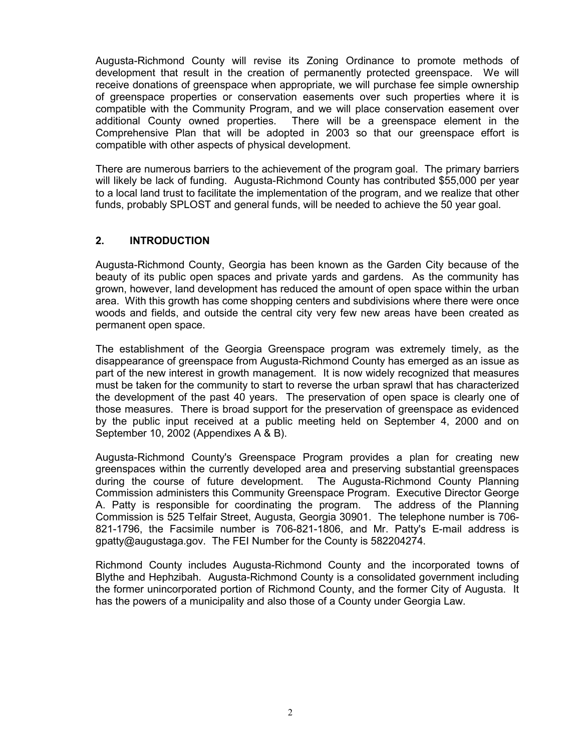Augusta-Richmond County will revise its Zoning Ordinance to promote methods of development that result in the creation of permanently protected greenspace. We will receive donations of greenspace when appropriate, we will purchase fee simple ownership of greenspace properties or conservation easements over such properties where it is compatible with the Community Program, and we will place conservation easement over additional County owned properties. There will be a greenspace element in the Comprehensive Plan that will be adopted in 2003 so that our greenspace effort is compatible with other aspects of physical development.

There are numerous barriers to the achievement of the program goal. The primary barriers will likely be lack of funding. Augusta-Richmond County has contributed \$55,000 per year to a local land trust to facilitate the implementation of the program, and we realize that other funds, probably SPLOST and general funds, will be needed to achieve the 50 year goal.

# **2. INTRODUCTION**

Augusta-Richmond County, Georgia has been known as the Garden City because of the beauty of its public open spaces and private yards and gardens. As the community has grown, however, land development has reduced the amount of open space within the urban area. With this growth has come shopping centers and subdivisions where there were once woods and fields, and outside the central city very few new areas have been created as permanent open space.

The establishment of the Georgia Greenspace program was extremely timely, as the disappearance of greenspace from Augusta-Richmond County has emerged as an issue as part of the new interest in growth management. It is now widely recognized that measures must be taken for the community to start to reverse the urban sprawl that has characterized the development of the past 40 years. The preservation of open space is clearly one of those measures. There is broad support for the preservation of greenspace as evidenced by the public input received at a public meeting held on September 4, 2000 and on September 10, 2002 (Appendixes A & B).

Augusta-Richmond County's Greenspace Program provides a plan for creating new greenspaces within the currently developed area and preserving substantial greenspaces during the course of future development. The Augusta-Richmond County Planning Commission administers this Community Greenspace Program. Executive Director George A. Patty is responsible for coordinating the program. The address of the Planning Commission is 525 Telfair Street, Augusta, Georgia 30901. The telephone number is 706- 821-1796, the Facsimile number is 706-821-1806, and Mr. Patty's E-mail address is gpatty@augustaga.gov. The FEI Number for the County is 582204274.

Richmond County includes Augusta-Richmond County and the incorporated towns of Blythe and Hephzibah. Augusta-Richmond County is a consolidated government including the former unincorporated portion of Richmond County, and the former City of Augusta. It has the powers of a municipality and also those of a County under Georgia Law.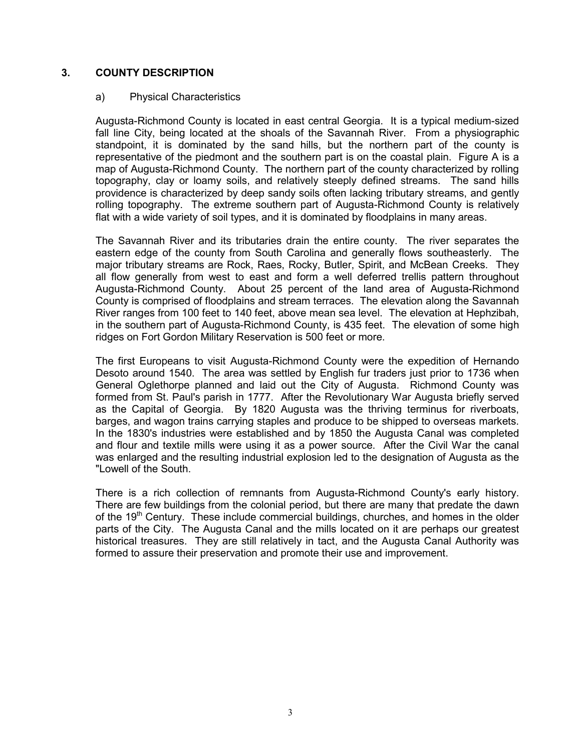# **3. COUNTY DESCRIPTION**

## a) Physical Characteristics

Augusta-Richmond County is located in east central Georgia. It is a typical medium-sized fall line City, being located at the shoals of the Savannah River. From a physiographic standpoint, it is dominated by the sand hills, but the northern part of the county is representative of the piedmont and the southern part is on the coastal plain. Figure A is a map of Augusta-Richmond County. The northern part of the county characterized by rolling topography, clay or loamy soils, and relatively steeply defined streams. The sand hills providence is characterized by deep sandy soils often lacking tributary streams, and gently rolling topography. The extreme southern part of Augusta-Richmond County is relatively flat with a wide variety of soil types, and it is dominated by floodplains in many areas.

The Savannah River and its tributaries drain the entire county. The river separates the eastern edge of the county from South Carolina and generally flows southeasterly. The major tributary streams are Rock, Raes, Rocky, Butler, Spirit, and McBean Creeks. They all flow generally from west to east and form a well deferred trellis pattern throughout Augusta-Richmond County. About 25 percent of the land area of Augusta-Richmond County is comprised of floodplains and stream terraces. The elevation along the Savannah River ranges from 100 feet to 140 feet, above mean sea level. The elevation at Hephzibah, in the southern part of Augusta-Richmond County, is 435 feet. The elevation of some high ridges on Fort Gordon Military Reservation is 500 feet or more.

The first Europeans to visit Augusta-Richmond County were the expedition of Hernando Desoto around 1540. The area was settled by English fur traders just prior to 1736 when General Oglethorpe planned and laid out the City of Augusta. Richmond County was formed from St. Paul's parish in 1777. After the Revolutionary War Augusta briefly served as the Capital of Georgia. By 1820 Augusta was the thriving terminus for riverboats, barges, and wagon trains carrying staples and produce to be shipped to overseas markets. In the 1830's industries were established and by 1850 the Augusta Canal was completed and flour and textile mills were using it as a power source. After the Civil War the canal was enlarged and the resulting industrial explosion led to the designation of Augusta as the "Lowell of the South.

There is a rich collection of remnants from Augusta-Richmond County's early history. There are few buildings from the colonial period, but there are many that predate the dawn of the 19<sup>th</sup> Century. These include commercial buildings, churches, and homes in the older parts of the City. The Augusta Canal and the mills located on it are perhaps our greatest historical treasures. They are still relatively in tact, and the Augusta Canal Authority was formed to assure their preservation and promote their use and improvement.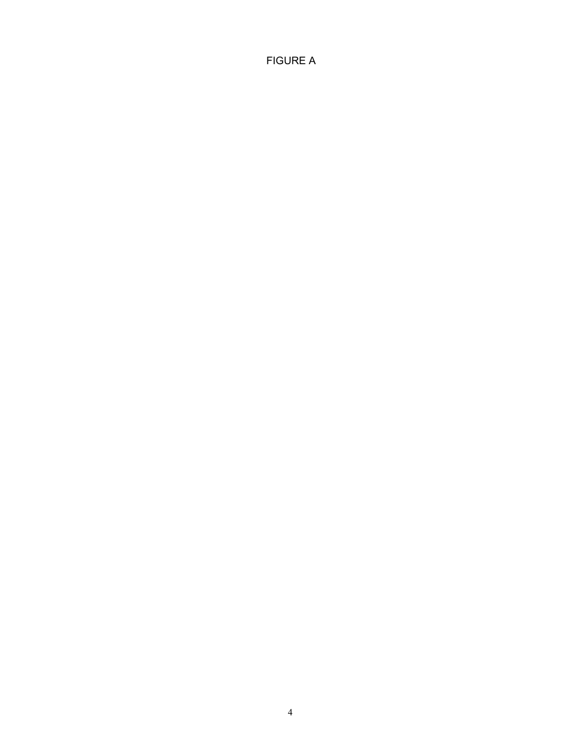FIGURE A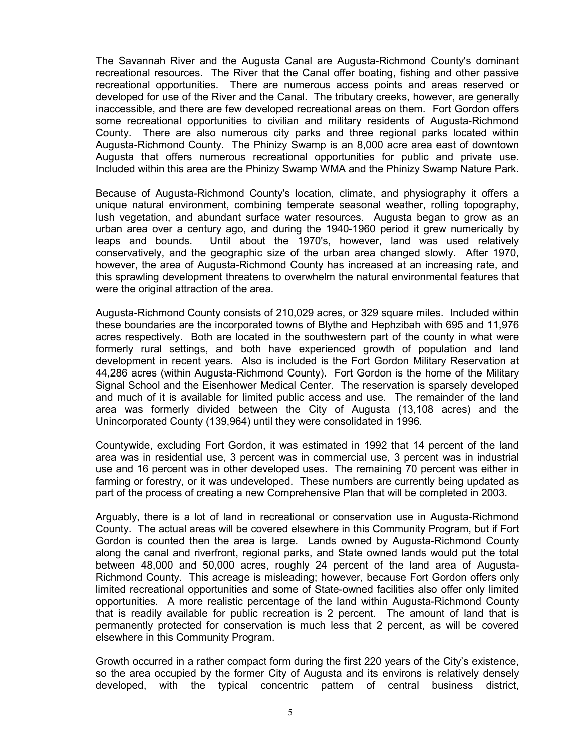The Savannah River and the Augusta Canal are Augusta-Richmond County's dominant recreational resources. The River that the Canal offer boating, fishing and other passive recreational opportunities. There are numerous access points and areas reserved or developed for use of the River and the Canal. The tributary creeks, however, are generally inaccessible, and there are few developed recreational areas on them. Fort Gordon offers some recreational opportunities to civilian and military residents of Augusta-Richmond County. There are also numerous city parks and three regional parks located within Augusta-Richmond County. The Phinizy Swamp is an 8,000 acre area east of downtown Augusta that offers numerous recreational opportunities for public and private use. Included within this area are the Phinizy Swamp WMA and the Phinizy Swamp Nature Park.

Because of Augusta-Richmond County's location, climate, and physiography it offers a unique natural environment, combining temperate seasonal weather, rolling topography, lush vegetation, and abundant surface water resources. Augusta began to grow as an urban area over a century ago, and during the 1940-1960 period it grew numerically by leaps and bounds. Until about the 1970's, however, land was used relatively conservatively, and the geographic size of the urban area changed slowly. After 1970, however, the area of Augusta-Richmond County has increased at an increasing rate, and this sprawling development threatens to overwhelm the natural environmental features that were the original attraction of the area.

Augusta-Richmond County consists of 210,029 acres, or 329 square miles. Included within these boundaries are the incorporated towns of Blythe and Hephzibah with 695 and 11,976 acres respectively. Both are located in the southwestern part of the county in what were formerly rural settings, and both have experienced growth of population and land development in recent years. Also is included is the Fort Gordon Military Reservation at 44,286 acres (within Augusta-Richmond County). Fort Gordon is the home of the Military Signal School and the Eisenhower Medical Center. The reservation is sparsely developed and much of it is available for limited public access and use. The remainder of the land area was formerly divided between the City of Augusta (13,108 acres) and the Unincorporated County (139,964) until they were consolidated in 1996.

Countywide, excluding Fort Gordon, it was estimated in 1992 that 14 percent of the land area was in residential use, 3 percent was in commercial use, 3 percent was in industrial use and 16 percent was in other developed uses. The remaining 70 percent was either in farming or forestry, or it was undeveloped. These numbers are currently being updated as part of the process of creating a new Comprehensive Plan that will be completed in 2003.

Arguably, there is a lot of land in recreational or conservation use in Augusta-Richmond County. The actual areas will be covered elsewhere in this Community Program, but if Fort Gordon is counted then the area is large. Lands owned by Augusta-Richmond County along the canal and riverfront, regional parks, and State owned lands would put the total between 48,000 and 50,000 acres, roughly 24 percent of the land area of Augusta-Richmond County. This acreage is misleading; however, because Fort Gordon offers only limited recreational opportunities and some of State-owned facilities also offer only limited opportunities. A more realistic percentage of the land within Augusta-Richmond County that is readily available for public recreation is 2 percent. The amount of land that is permanently protected for conservation is much less that 2 percent, as will be covered elsewhere in this Community Program.

Growth occurred in a rather compact form during the first 220 years of the City's existence, so the area occupied by the former City of Augusta and its environs is relatively densely developed, with the typical concentric pattern of central business district,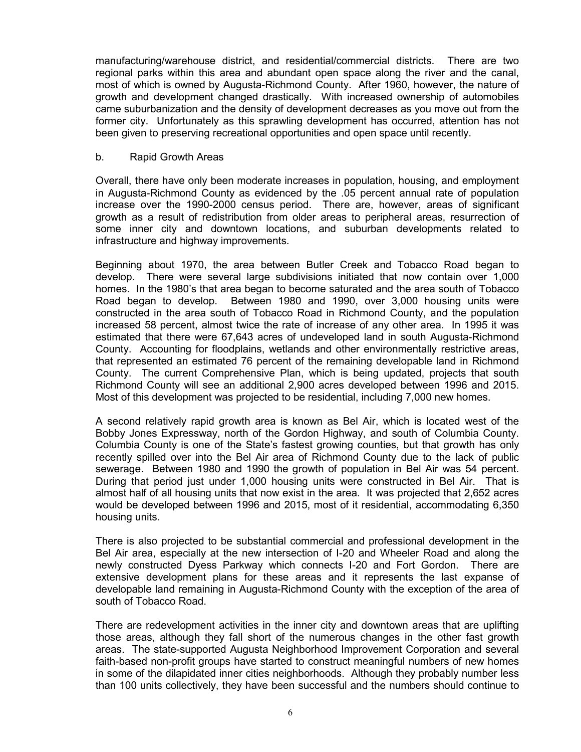manufacturing/warehouse district, and residential/commercial districts. There are two regional parks within this area and abundant open space along the river and the canal, most of which is owned by Augusta-Richmond County. After 1960, however, the nature of growth and development changed drastically. With increased ownership of automobiles came suburbanization and the density of development decreases as you move out from the former city. Unfortunately as this sprawling development has occurred, attention has not been given to preserving recreational opportunities and open space until recently.

#### b. Rapid Growth Areas

Overall, there have only been moderate increases in population, housing, and employment in Augusta-Richmond County as evidenced by the .05 percent annual rate of population increase over the 1990-2000 census period. There are, however, areas of significant growth as a result of redistribution from older areas to peripheral areas, resurrection of some inner city and downtown locations, and suburban developments related to infrastructure and highway improvements.

Beginning about 1970, the area between Butler Creek and Tobacco Road began to develop. There were several large subdivisions initiated that now contain over 1,000 homes. In the 1980's that area began to become saturated and the area south of Tobacco Road began to develop. Between 1980 and 1990, over 3,000 housing units were constructed in the area south of Tobacco Road in Richmond County, and the population increased 58 percent, almost twice the rate of increase of any other area. In 1995 it was estimated that there were 67,643 acres of undeveloped land in south Augusta-Richmond County. Accounting for floodplains, wetlands and other environmentally restrictive areas, that represented an estimated 76 percent of the remaining developable land in Richmond County. The current Comprehensive Plan, which is being updated, projects that south Richmond County will see an additional 2,900 acres developed between 1996 and 2015. Most of this development was projected to be residential, including 7,000 new homes.

A second relatively rapid growth area is known as Bel Air, which is located west of the Bobby Jones Expressway, north of the Gordon Highway, and south of Columbia County. Columbia County is one of the State's fastest growing counties, but that growth has only recently spilled over into the Bel Air area of Richmond County due to the lack of public sewerage. Between 1980 and 1990 the growth of population in Bel Air was 54 percent. During that period just under 1,000 housing units were constructed in Bel Air. That is almost half of all housing units that now exist in the area. It was projected that 2,652 acres would be developed between 1996 and 2015, most of it residential, accommodating 6,350 housing units.

There is also projected to be substantial commercial and professional development in the Bel Air area, especially at the new intersection of I-20 and Wheeler Road and along the newly constructed Dyess Parkway which connects I-20 and Fort Gordon. There are extensive development plans for these areas and it represents the last expanse of developable land remaining in Augusta-Richmond County with the exception of the area of south of Tobacco Road.

There are redevelopment activities in the inner city and downtown areas that are uplifting those areas, although they fall short of the numerous changes in the other fast growth areas. The state-supported Augusta Neighborhood Improvement Corporation and several faith-based non-profit groups have started to construct meaningful numbers of new homes in some of the dilapidated inner cities neighborhoods. Although they probably number less than 100 units collectively, they have been successful and the numbers should continue to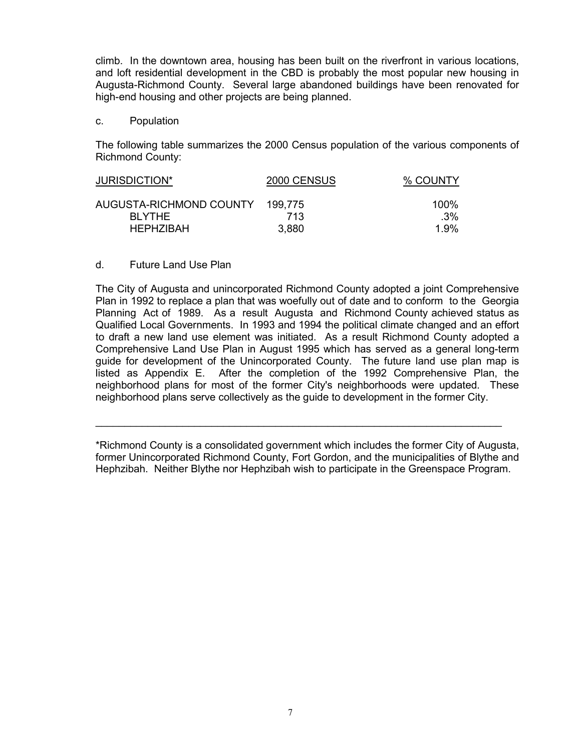climb. In the downtown area, housing has been built on the riverfront in various locations, and loft residential development in the CBD is probably the most popular new housing in Augusta-Richmond County. Several large abandoned buildings have been renovated for high-end housing and other projects are being planned.

c. Population

The following table summarizes the 2000 Census population of the various components of Richmond County:

| JURISDICTION*           | 2000 CENSUS | % COUNTY |
|-------------------------|-------------|----------|
| AUGUSTA-RICHMOND COUNTY | 199.775     | 100%     |
| <b>BI YTHE</b>          | 713         | $.3\%$   |
| <b>HEPHZIBAH</b>        | 3,880       | 1.9%     |

## d. Future Land Use Plan

The City of Augusta and unincorporated Richmond County adopted a joint Comprehensive Plan in 1992 to replace a plan that was woefully out of date and to conform to the Georgia Planning Act of 1989. As a result Augusta and Richmond County achieved status as Qualified Local Governments. In 1993 and 1994 the political climate changed and an effort to draft a new land use element was initiated. As a result Richmond County adopted a Comprehensive Land Use Plan in August 1995 which has served as a general long-term guide for development of the Unincorporated County. The future land use plan map is listed as Appendix E. After the completion of the 1992 Comprehensive Plan, the neighborhood plans for most of the former City's neighborhoods were updated. These neighborhood plans serve collectively as the guide to development in the former City.

\*Richmond County is a consolidated government which includes the former City of Augusta, former Unincorporated Richmond County, Fort Gordon, and the municipalities of Blythe and Hephzibah. Neither Blythe nor Hephzibah wish to participate in the Greenspace Program.

\_\_\_\_\_\_\_\_\_\_\_\_\_\_\_\_\_\_\_\_\_\_\_\_\_\_\_\_\_\_\_\_\_\_\_\_\_\_\_\_\_\_\_\_\_\_\_\_\_\_\_\_\_\_\_\_\_\_\_\_\_\_\_\_\_\_\_\_\_\_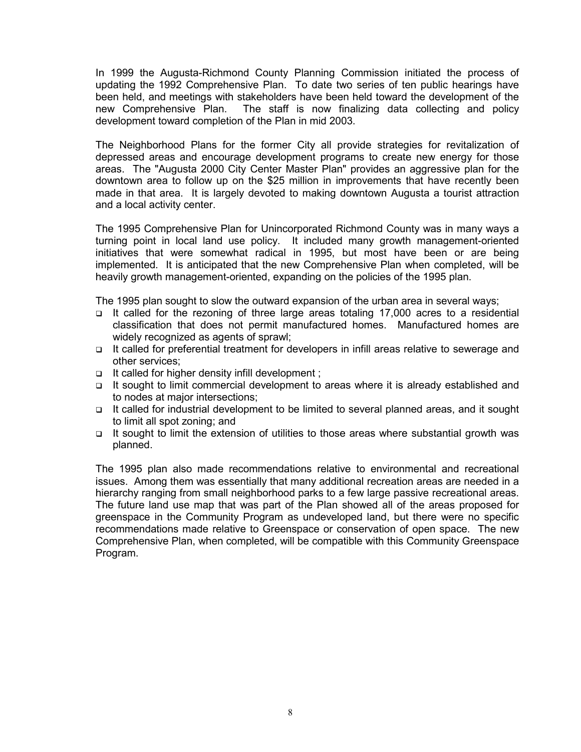In 1999 the Augusta-Richmond County Planning Commission initiated the process of updating the 1992 Comprehensive Plan. To date two series of ten public hearings have been held, and meetings with stakeholders have been held toward the development of the new Comprehensive Plan. The staff is now finalizing data collecting and policy development toward completion of the Plan in mid 2003.

The Neighborhood Plans for the former City all provide strategies for revitalization of depressed areas and encourage development programs to create new energy for those areas. The "Augusta 2000 City Center Master Plan" provides an aggressive plan for the downtown area to follow up on the \$25 million in improvements that have recently been made in that area. It is largely devoted to making downtown Augusta a tourist attraction and a local activity center.

The 1995 Comprehensive Plan for Unincorporated Richmond County was in many ways a turning point in local land use policy. It included many growth management-oriented initiatives that were somewhat radical in 1995, but most have been or are being implemented. It is anticipated that the new Comprehensive Plan when completed, will be heavily growth management-oriented, expanding on the policies of the 1995 plan.

The 1995 plan sought to slow the outward expansion of the urban area in several ways;

- $\Box$  It called for the rezoning of three large areas totaling 17,000 acres to a residential classification that does not permit manufactured homes. Manufactured homes are widely recognized as agents of sprawl;
- It called for preferential treatment for developers in infill areas relative to sewerage and other services;
- $\Box$  It called for higher density infill development ;
- It sought to limit commercial development to areas where it is already established and to nodes at major intersections;
- It called for industrial development to be limited to several planned areas, and it sought to limit all spot zoning; and
- It sought to limit the extension of utilities to those areas where substantial growth was planned.

The 1995 plan also made recommendations relative to environmental and recreational issues. Among them was essentially that many additional recreation areas are needed in a hierarchy ranging from small neighborhood parks to a few large passive recreational areas. The future land use map that was part of the Plan showed all of the areas proposed for greenspace in the Community Program as undeveloped land, but there were no specific recommendations made relative to Greenspace or conservation of open space. The new Comprehensive Plan, when completed, will be compatible with this Community Greenspace Program.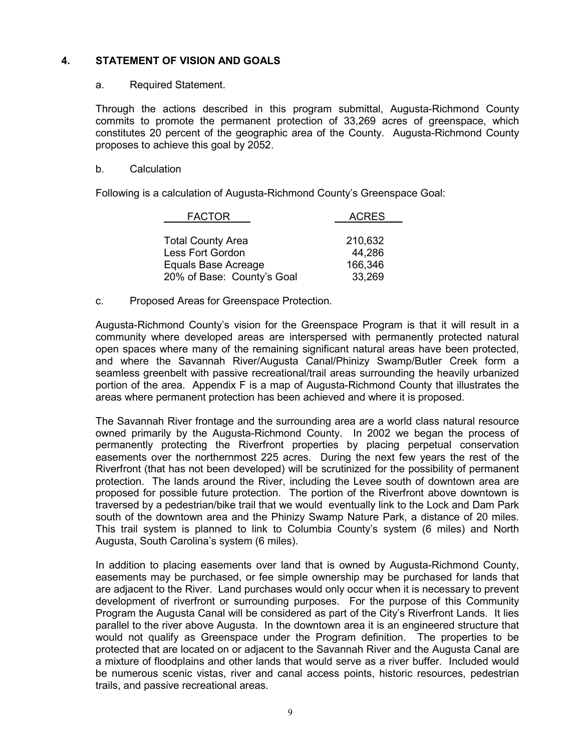# **4. STATEMENT OF VISION AND GOALS**

#### a. Required Statement.

Through the actions described in this program submittal, Augusta-Richmond County commits to promote the permanent protection of 33,269 acres of greenspace, which constitutes 20 percent of the geographic area of the County. Augusta-Richmond County proposes to achieve this goal by 2052.

#### b. Calculation

Following is a calculation of Augusta-Richmond County's Greenspace Goal:

| <b>FACTOR</b>              | <b>ACRES</b> |
|----------------------------|--------------|
|                            |              |
| <b>Total County Area</b>   | 210,632      |
| Less Fort Gordon           | 44,286       |
| Equals Base Acreage        | 166,346      |
| 20% of Base: County's Goal | 33,269       |

c. Proposed Areas for Greenspace Protection.

Augusta-Richmond County's vision for the Greenspace Program is that it will result in a community where developed areas are interspersed with permanently protected natural open spaces where many of the remaining significant natural areas have been protected, and where the Savannah River/Augusta Canal/Phinizy Swamp/Butler Creek form a seamless greenbelt with passive recreational/trail areas surrounding the heavily urbanized portion of the area. Appendix F is a map of Augusta-Richmond County that illustrates the areas where permanent protection has been achieved and where it is proposed.

The Savannah River frontage and the surrounding area are a world class natural resource owned primarily by the Augusta-Richmond County. In 2002 we began the process of permanently protecting the Riverfront properties by placing perpetual conservation easements over the northernmost 225 acres. During the next few years the rest of the Riverfront (that has not been developed) will be scrutinized for the possibility of permanent protection. The lands around the River, including the Levee south of downtown area are proposed for possible future protection. The portion of the Riverfront above downtown is traversed by a pedestrian/bike trail that we would eventually link to the Lock and Dam Park south of the downtown area and the Phinizy Swamp Nature Park, a distance of 20 miles. This trail system is planned to link to Columbia County's system (6 miles) and North Augusta, South Carolina's system (6 miles).

In addition to placing easements over land that is owned by Augusta-Richmond County, easements may be purchased, or fee simple ownership may be purchased for lands that are adjacent to the River. Land purchases would only occur when it is necessary to prevent development of riverfront or surrounding purposes. For the purpose of this Community Program the Augusta Canal will be considered as part of the City's Riverfront Lands. It lies parallel to the river above Augusta. In the downtown area it is an engineered structure that would not qualify as Greenspace under the Program definition. The properties to be protected that are located on or adjacent to the Savannah River and the Augusta Canal are a mixture of floodplains and other lands that would serve as a river buffer. Included would be numerous scenic vistas, river and canal access points, historic resources, pedestrian trails, and passive recreational areas.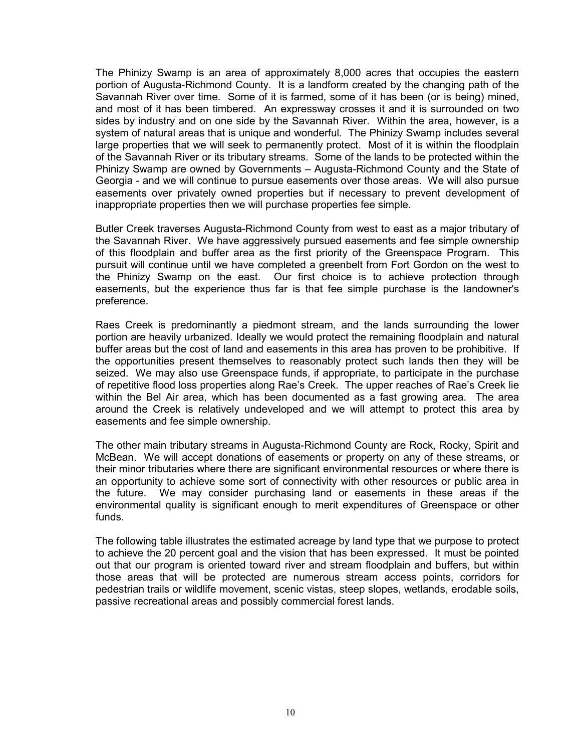The Phinizy Swamp is an area of approximately 8,000 acres that occupies the eastern portion of Augusta-Richmond County. It is a landform created by the changing path of the Savannah River over time. Some of it is farmed, some of it has been (or is being) mined, and most of it has been timbered. An expressway crosses it and it is surrounded on two sides by industry and on one side by the Savannah River. Within the area, however, is a system of natural areas that is unique and wonderful. The Phinizy Swamp includes several large properties that we will seek to permanently protect. Most of it is within the floodplain of the Savannah River or its tributary streams. Some of the lands to be protected within the Phinizy Swamp are owned by Governments – Augusta-Richmond County and the State of Georgia - and we will continue to pursue easements over those areas. We will also pursue easements over privately owned properties but if necessary to prevent development of inappropriate properties then we will purchase properties fee simple.

Butler Creek traverses Augusta-Richmond County from west to east as a major tributary of the Savannah River. We have aggressively pursued easements and fee simple ownership of this floodplain and buffer area as the first priority of the Greenspace Program. This pursuit will continue until we have completed a greenbelt from Fort Gordon on the west to the Phinizy Swamp on the east. Our first choice is to achieve protection through easements, but the experience thus far is that fee simple purchase is the landowner's preference.

Raes Creek is predominantly a piedmont stream, and the lands surrounding the lower portion are heavily urbanized. Ideally we would protect the remaining floodplain and natural buffer areas but the cost of land and easements in this area has proven to be prohibitive. If the opportunities present themselves to reasonably protect such lands then they will be seized. We may also use Greenspace funds, if appropriate, to participate in the purchase of repetitive flood loss properties along Rae's Creek. The upper reaches of Rae's Creek lie within the Bel Air area, which has been documented as a fast growing area. The area around the Creek is relatively undeveloped and we will attempt to protect this area by easements and fee simple ownership.

The other main tributary streams in Augusta-Richmond County are Rock, Rocky, Spirit and McBean. We will accept donations of easements or property on any of these streams, or their minor tributaries where there are significant environmental resources or where there is an opportunity to achieve some sort of connectivity with other resources or public area in the future. We may consider purchasing land or easements in these areas if the environmental quality is significant enough to merit expenditures of Greenspace or other funds.

The following table illustrates the estimated acreage by land type that we purpose to protect to achieve the 20 percent goal and the vision that has been expressed. It must be pointed out that our program is oriented toward river and stream floodplain and buffers, but within those areas that will be protected are numerous stream access points, corridors for pedestrian trails or wildlife movement, scenic vistas, steep slopes, wetlands, erodable soils, passive recreational areas and possibly commercial forest lands.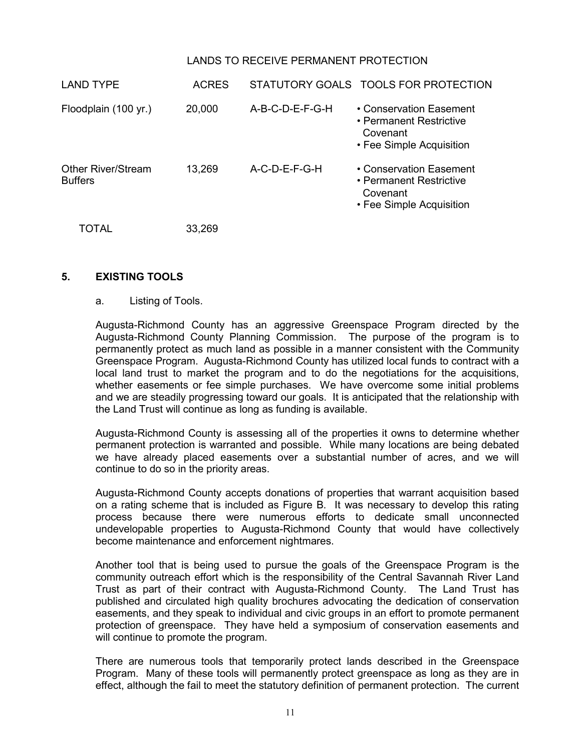# LANDS TO RECEIVE PERMANENT PROTECTION

| <b>LAND TYPE</b>                     | <b>ACRES</b> |                   | STATUTORY GOALS TOOLS FOR PROTECTION                                                       |
|--------------------------------------|--------------|-------------------|--------------------------------------------------------------------------------------------|
| Floodplain (100 yr.)                 | 20,000       | $A-B-C-D-E-F-G-H$ | • Conservation Easement<br>• Permanent Restrictive<br>Covenant<br>• Fee Simple Acquisition |
| Other River/Stream<br><b>Buffers</b> | 13,269       | $A-C-D-E-F-G-H$   | • Conservation Easement<br>• Permanent Restrictive<br>Covenant<br>• Fee Simple Acquisition |
| <b>TOTAL</b>                         | 33,269       |                   |                                                                                            |

#### **5. EXISTING TOOLS**

#### a. Listing of Tools.

Augusta-Richmond County has an aggressive Greenspace Program directed by the Augusta-Richmond County Planning Commission. The purpose of the program is to permanently protect as much land as possible in a manner consistent with the Community Greenspace Program. Augusta-Richmond County has utilized local funds to contract with a local land trust to market the program and to do the negotiations for the acquisitions, whether easements or fee simple purchases. We have overcome some initial problems and we are steadily progressing toward our goals. It is anticipated that the relationship with the Land Trust will continue as long as funding is available.

Augusta-Richmond County is assessing all of the properties it owns to determine whether permanent protection is warranted and possible. While many locations are being debated we have already placed easements over a substantial number of acres, and we will continue to do so in the priority areas.

Augusta-Richmond County accepts donations of properties that warrant acquisition based on a rating scheme that is included as Figure B. It was necessary to develop this rating process because there were numerous efforts to dedicate small unconnected undevelopable properties to Augusta-Richmond County that would have collectively become maintenance and enforcement nightmares.

Another tool that is being used to pursue the goals of the Greenspace Program is the community outreach effort which is the responsibility of the Central Savannah River Land Trust as part of their contract with Augusta-Richmond County. The Land Trust has published and circulated high quality brochures advocating the dedication of conservation easements, and they speak to individual and civic groups in an effort to promote permanent protection of greenspace. They have held a symposium of conservation easements and will continue to promote the program.

There are numerous tools that temporarily protect lands described in the Greenspace Program. Many of these tools will permanently protect greenspace as long as they are in effect, although the fail to meet the statutory definition of permanent protection. The current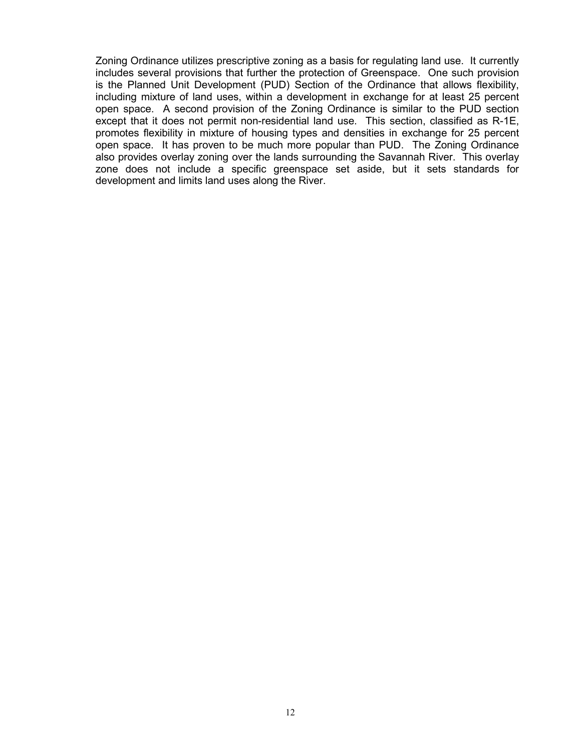Zoning Ordinance utilizes prescriptive zoning as a basis for regulating land use. It currently includes several provisions that further the protection of Greenspace. One such provision is the Planned Unit Development (PUD) Section of the Ordinance that allows flexibility, including mixture of land uses, within a development in exchange for at least 25 percent open space. A second provision of the Zoning Ordinance is similar to the PUD section except that it does not permit non-residential land use. This section, classified as R-1E, promotes flexibility in mixture of housing types and densities in exchange for 25 percent open space. It has proven to be much more popular than PUD. The Zoning Ordinance also provides overlay zoning over the lands surrounding the Savannah River. This overlay zone does not include a specific greenspace set aside, but it sets standards for development and limits land uses along the River.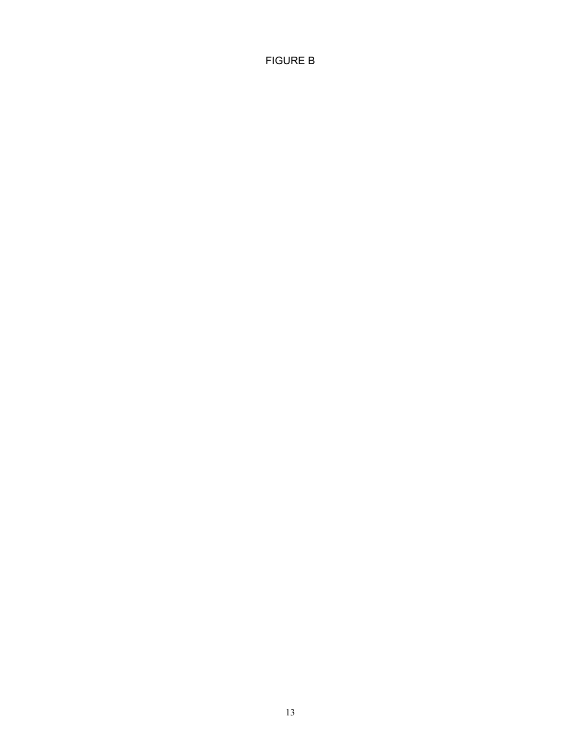FIGURE B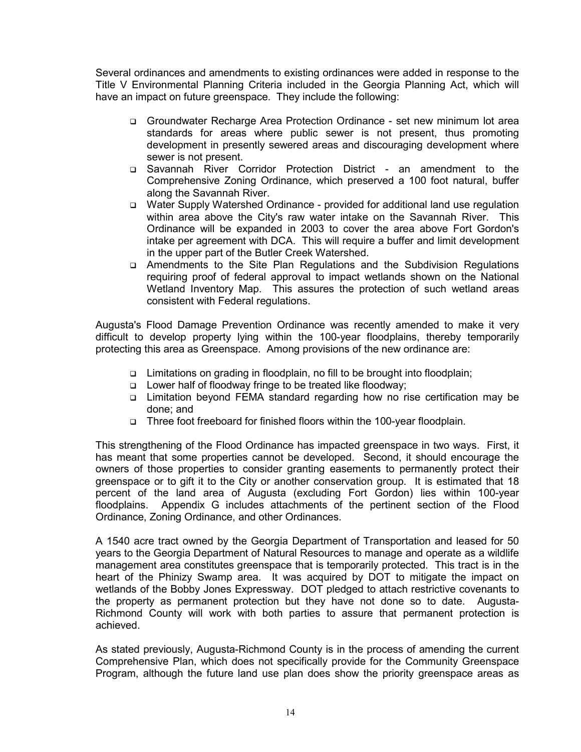Several ordinances and amendments to existing ordinances were added in response to the Title V Environmental Planning Criteria included in the Georgia Planning Act, which will have an impact on future greenspace. They include the following:

- Groundwater Recharge Area Protection Ordinance set new minimum lot area standards for areas where public sewer is not present, thus promoting development in presently sewered areas and discouraging development where sewer is not present.
- Savannah River Corridor Protection District an amendment to the Comprehensive Zoning Ordinance, which preserved a 100 foot natural, buffer along the Savannah River.
- Water Supply Watershed Ordinance provided for additional land use regulation within area above the City's raw water intake on the Savannah River. This Ordinance will be expanded in 2003 to cover the area above Fort Gordon's intake per agreement with DCA. This will require a buffer and limit development in the upper part of the Butler Creek Watershed.
- Amendments to the Site Plan Regulations and the Subdivision Regulations requiring proof of federal approval to impact wetlands shown on the National Wetland Inventory Map. This assures the protection of such wetland areas consistent with Federal regulations.

Augusta's Flood Damage Prevention Ordinance was recently amended to make it very difficult to develop property lying within the 100-year floodplains, thereby temporarily protecting this area as Greenspace. Among provisions of the new ordinance are:

- Limitations on grading in floodplain, no fill to be brought into floodplain;
- Lower half of floodway fringe to be treated like floodway;
- □ Limitation beyond FEMA standard regarding how no rise certification may be done; and
- □ Three foot freeboard for finished floors within the 100-year floodplain.

This strengthening of the Flood Ordinance has impacted greenspace in two ways. First, it has meant that some properties cannot be developed. Second, it should encourage the owners of those properties to consider granting easements to permanently protect their greenspace or to gift it to the City or another conservation group. It is estimated that 18 percent of the land area of Augusta (excluding Fort Gordon) lies within 100-year floodplains. Appendix G includes attachments of the pertinent section of the Flood Ordinance, Zoning Ordinance, and other Ordinances.

A 1540 acre tract owned by the Georgia Department of Transportation and leased for 50 years to the Georgia Department of Natural Resources to manage and operate as a wildlife management area constitutes greenspace that is temporarily protected. This tract is in the heart of the Phinizy Swamp area. It was acquired by DOT to mitigate the impact on wetlands of the Bobby Jones Expressway. DOT pledged to attach restrictive covenants to the property as permanent protection but they have not done so to date. Augusta-Richmond County will work with both parties to assure that permanent protection is achieved.

As stated previously, Augusta-Richmond County is in the process of amending the current Comprehensive Plan, which does not specifically provide for the Community Greenspace Program, although the future land use plan does show the priority greenspace areas as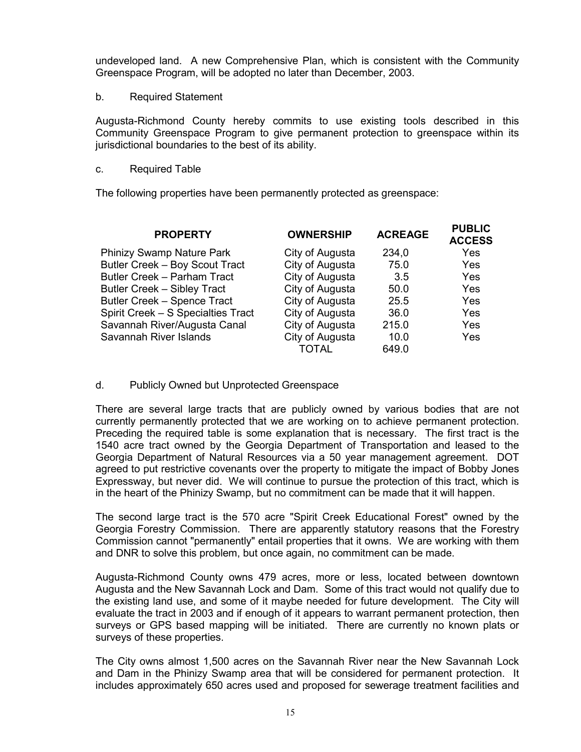undeveloped land. A new Comprehensive Plan, which is consistent with the Community Greenspace Program, will be adopted no later than December, 2003.

b. Required Statement

Augusta-Richmond County hereby commits to use existing tools described in this Community Greenspace Program to give permanent protection to greenspace within its jurisdictional boundaries to the best of its ability.

c. Required Table

The following properties have been permanently protected as greenspace:

| <b>PROPERTY</b>                    | <b>OWNERSHIP</b> | <b>ACREAGE</b> | <b>PUBLIC</b><br><b>ACCESS</b> |
|------------------------------------|------------------|----------------|--------------------------------|
| <b>Phinizy Swamp Nature Park</b>   | City of Augusta  | 234,0          | Yes                            |
| Butler Creek - Boy Scout Tract     | City of Augusta  | 75.0           | Yes                            |
| Butler Creek - Parham Tract        | City of Augusta  | 3.5            | Yes                            |
| Butler Creek - Sibley Tract        | City of Augusta  | 50.0           | Yes                            |
| Butler Creek - Spence Tract        | City of Augusta  | 25.5           | Yes                            |
| Spirit Creek - S Specialties Tract | City of Augusta  | 36.0           | Yes                            |
| Savannah River/Augusta Canal       | City of Augusta  | 215.0          | Yes                            |
| Savannah River Islands             | City of Augusta  | 10.0           | Yes                            |
|                                    | TOTAL            | 649.0          |                                |

#### d. Publicly Owned but Unprotected Greenspace

There are several large tracts that are publicly owned by various bodies that are not currently permanently protected that we are working on to achieve permanent protection. Preceding the required table is some explanation that is necessary. The first tract is the 1540 acre tract owned by the Georgia Department of Transportation and leased to the Georgia Department of Natural Resources via a 50 year management agreement. DOT agreed to put restrictive covenants over the property to mitigate the impact of Bobby Jones Expressway, but never did. We will continue to pursue the protection of this tract, which is in the heart of the Phinizy Swamp, but no commitment can be made that it will happen.

The second large tract is the 570 acre "Spirit Creek Educational Forest" owned by the Georgia Forestry Commission. There are apparently statutory reasons that the Forestry Commission cannot "permanently" entail properties that it owns. We are working with them and DNR to solve this problem, but once again, no commitment can be made.

Augusta-Richmond County owns 479 acres, more or less, located between downtown Augusta and the New Savannah Lock and Dam. Some of this tract would not qualify due to the existing land use, and some of it maybe needed for future development. The City will evaluate the tract in 2003 and if enough of it appears to warrant permanent protection, then surveys or GPS based mapping will be initiated. There are currently no known plats or surveys of these properties.

The City owns almost 1,500 acres on the Savannah River near the New Savannah Lock and Dam in the Phinizy Swamp area that will be considered for permanent protection. It includes approximately 650 acres used and proposed for sewerage treatment facilities and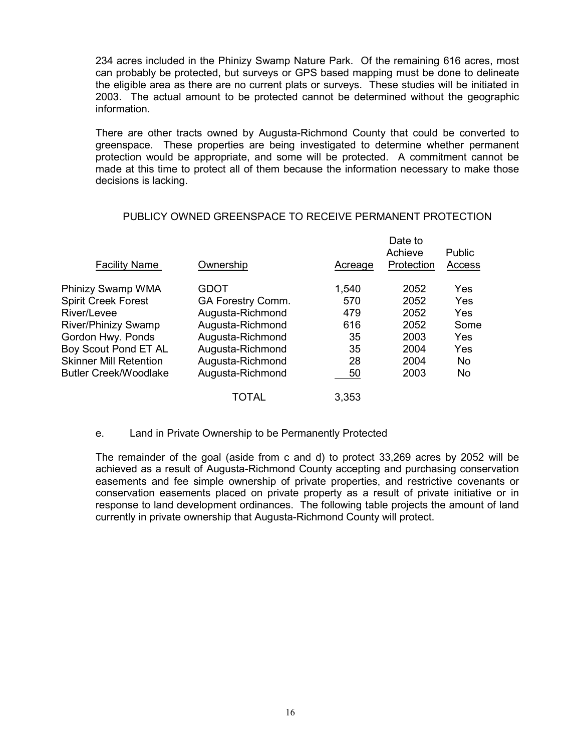234 acres included in the Phinizy Swamp Nature Park. Of the remaining 616 acres, most can probably be protected, but surveys or GPS based mapping must be done to delineate the eligible area as there are no current plats or surveys. These studies will be initiated in 2003. The actual amount to be protected cannot be determined without the geographic information.

There are other tracts owned by Augusta-Richmond County that could be converted to greenspace. These properties are being investigated to determine whether permanent protection would be appropriate, and some will be protected. A commitment cannot be made at this time to protect all of them because the information necessary to make those decisions is lacking.

| <b>Facility Name</b>          | Ownership         | Acreage | Date to<br>Achieve<br>Protection | <b>Public</b><br>Access |
|-------------------------------|-------------------|---------|----------------------------------|-------------------------|
| Phinizy Swamp WMA             | <b>GDOT</b>       | 1,540   | 2052                             | Yes                     |
| <b>Spirit Creek Forest</b>    | GA Forestry Comm. | 570     | 2052                             | Yes                     |
| River/Levee                   | Augusta-Richmond  | 479     | 2052                             | Yes                     |
| <b>River/Phinizy Swamp</b>    | Augusta-Richmond  | 616     | 2052                             | Some                    |
| Gordon Hwy. Ponds             | Augusta-Richmond  | 35      | 2003                             | Yes                     |
| Boy Scout Pond ET AL          | Augusta-Richmond  | 35      | 2004                             | Yes                     |
| <b>Skinner Mill Retention</b> | Augusta-Richmond  | 28      | 2004                             | No.                     |
| <b>Butler Creek/Woodlake</b>  | Augusta-Richmond  | 50      | 2003                             | <b>No</b>               |
|                               | TOTAL             | 3.353   |                                  |                         |

# PUBLICY OWNED GREENSPACE TO RECEIVE PERMANENT PROTECTION

#### e. Land in Private Ownership to be Permanently Protected

The remainder of the goal (aside from c and d) to protect 33,269 acres by 2052 will be achieved as a result of Augusta-Richmond County accepting and purchasing conservation easements and fee simple ownership of private properties, and restrictive covenants or conservation easements placed on private property as a result of private initiative or in response to land development ordinances. The following table projects the amount of land currently in private ownership that Augusta-Richmond County will protect.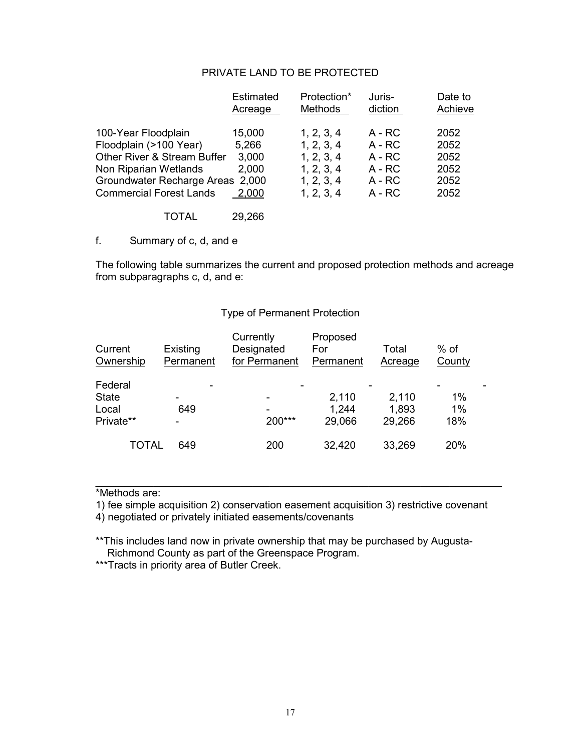# PRIVATE LAND TO BE PROTECTED

|                                  | Estimated<br>Acreage | Protection*<br><b>Methods</b> | Juris-<br>diction | Date to<br>Achieve |
|----------------------------------|----------------------|-------------------------------|-------------------|--------------------|
| 100-Year Floodplain              | 15,000               | 1, 2, 3, 4                    | $A - RC$          | 2052               |
| Floodplain (>100 Year)           | 5,266                | 1, 2, 3, 4                    | $A - RC$          | 2052               |
| Other River & Stream Buffer      | 3,000                | 1, 2, 3, 4                    | $A - RC$          | 2052               |
| Non Riparian Wetlands            | 2,000                | 1, 2, 3, 4                    | $A - RC$          | 2052               |
| Groundwater Recharge Areas 2,000 |                      | 1, 2, 3, 4                    | $A - RC$          | 2052               |
| <b>Commercial Forest Lands</b>   | 2,000                | 1, 2, 3, 4                    | $A - RC$          | 2052               |
| TOTAL                            | 29,266               |                               |                   |                    |

f. Summary of c, d, and e

The following table summarizes the current and proposed protection methods and acreage from subparagraphs c, d, and e:

#### Type of Permanent Protection

| Current<br>Ownership                          | Existing<br>Permanent | Currently<br>Designated<br>for Permanent | Proposed<br>For<br>Permanent | Total<br>Acreage         | $%$ of<br>County |  |
|-----------------------------------------------|-----------------------|------------------------------------------|------------------------------|--------------------------|------------------|--|
| Federal<br><b>State</b><br>Local<br>Private** | 649                   | -<br>200***                              | 2,110<br>1,244<br>29,066     | 2,110<br>1,893<br>29,266 | 1%<br>1%<br>18%  |  |
| <b>TOTAL</b>                                  | 649                   | 200                                      | 32,420                       | 33,269                   | 20%              |  |

\*Methods are:

1) fee simple acquisition 2) conservation easement acquisition 3) restrictive covenant

\_\_\_\_\_\_\_\_\_\_\_\_\_\_\_\_\_\_\_\_\_\_\_\_\_\_\_\_\_\_\_\_\_\_\_\_\_\_\_\_\_\_\_\_\_\_\_\_\_\_\_\_\_\_\_\_\_\_\_\_\_\_\_\_\_\_\_\_\_\_

4) negotiated or privately initiated easements/covenants

\*\*This includes land now in private ownership that may be purchased by Augusta-Richmond County as part of the Greenspace Program.

\*\*\*Tracts in priority area of Butler Creek.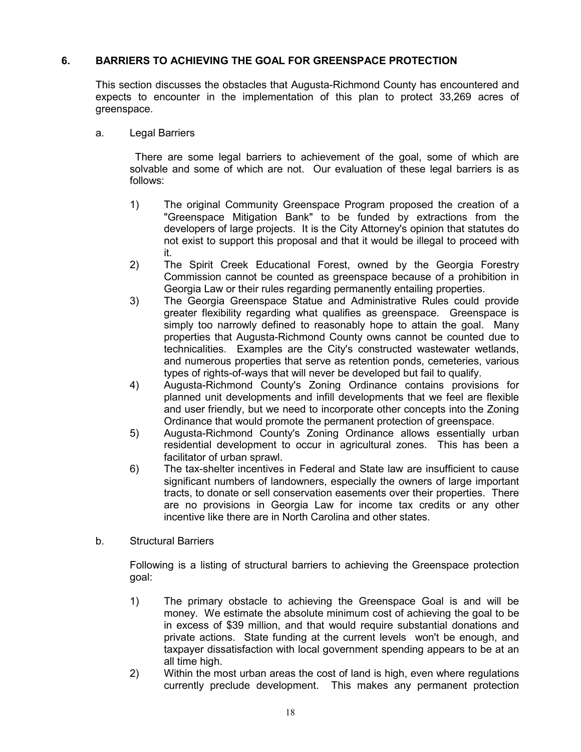# **6. BARRIERS TO ACHIEVING THE GOAL FOR GREENSPACE PROTECTION**

This section discusses the obstacles that Augusta-Richmond County has encountered and expects to encounter in the implementation of this plan to protect 33,269 acres of greenspace.

a. Legal Barriers

 There are some legal barriers to achievement of the goal, some of which are solvable and some of which are not. Our evaluation of these legal barriers is as follows:

- 1) The original Community Greenspace Program proposed the creation of a "Greenspace Mitigation Bank" to be funded by extractions from the developers of large projects. It is the City Attorney's opinion that statutes do not exist to support this proposal and that it would be illegal to proceed with it.
- 2) The Spirit Creek Educational Forest, owned by the Georgia Forestry Commission cannot be counted as greenspace because of a prohibition in Georgia Law or their rules regarding permanently entailing properties.
- 3) The Georgia Greenspace Statue and Administrative Rules could provide greater flexibility regarding what qualifies as greenspace. Greenspace is simply too narrowly defined to reasonably hope to attain the goal. Many properties that Augusta-Richmond County owns cannot be counted due to technicalities. Examples are the City's constructed wastewater wetlands, and numerous properties that serve as retention ponds, cemeteries, various types of rights-of-ways that will never be developed but fail to qualify.
- 4) Augusta-Richmond County's Zoning Ordinance contains provisions for planned unit developments and infill developments that we feel are flexible and user friendly, but we need to incorporate other concepts into the Zoning Ordinance that would promote the permanent protection of greenspace.
- 5) Augusta-Richmond County's Zoning Ordinance allows essentially urban residential development to occur in agricultural zones. This has been a facilitator of urban sprawl.
- 6) The tax-shelter incentives in Federal and State law are insufficient to cause significant numbers of landowners, especially the owners of large important tracts, to donate or sell conservation easements over their properties. There are no provisions in Georgia Law for income tax credits or any other incentive like there are in North Carolina and other states.
- b. Structural Barriers

Following is a listing of structural barriers to achieving the Greenspace protection goal:

- 1) The primary obstacle to achieving the Greenspace Goal is and will be money. We estimate the absolute minimum cost of achieving the goal to be in excess of \$39 million, and that would require substantial donations and private actions. State funding at the current levels won't be enough, and taxpayer dissatisfaction with local government spending appears to be at an all time high.
- 2) Within the most urban areas the cost of land is high, even where regulations currently preclude development. This makes any permanent protection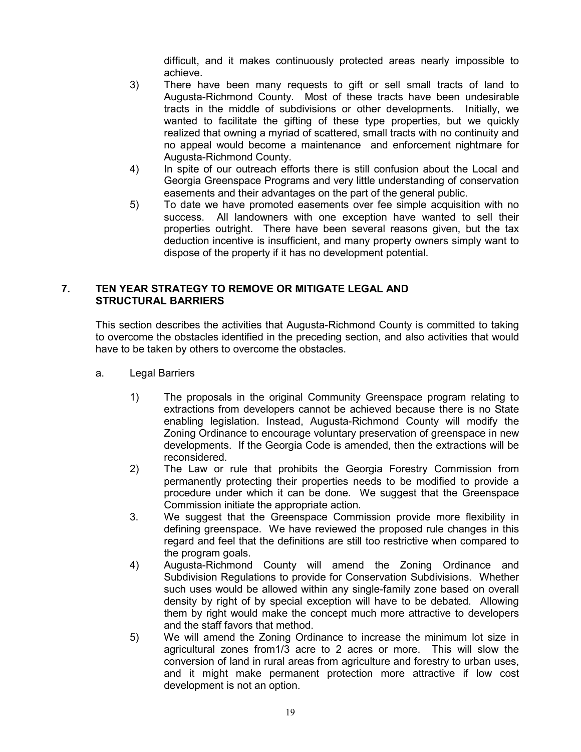difficult, and it makes continuously protected areas nearly impossible to achieve.

- 3) There have been many requests to gift or sell small tracts of land to Augusta-Richmond County. Most of these tracts have been undesirable tracts in the middle of subdivisions or other developments. Initially, we wanted to facilitate the gifting of these type properties, but we quickly realized that owning a myriad of scattered, small tracts with no continuity and no appeal would become a maintenance and enforcement nightmare for Augusta-Richmond County.
- 4) In spite of our outreach efforts there is still confusion about the Local and Georgia Greenspace Programs and very little understanding of conservation easements and their advantages on the part of the general public.
- 5) To date we have promoted easements over fee simple acquisition with no success. All landowners with one exception have wanted to sell their properties outright. There have been several reasons given, but the tax deduction incentive is insufficient, and many property owners simply want to dispose of the property if it has no development potential.

## **7. TEN YEAR STRATEGY TO REMOVE OR MITIGATE LEGAL AND STRUCTURAL BARRIERS**

This section describes the activities that Augusta-Richmond County is committed to taking to overcome the obstacles identified in the preceding section, and also activities that would have to be taken by others to overcome the obstacles.

- a. Legal Barriers
	- 1) The proposals in the original Community Greenspace program relating to extractions from developers cannot be achieved because there is no State enabling legislation. Instead, Augusta-Richmond County will modify the Zoning Ordinance to encourage voluntary preservation of greenspace in new developments. If the Georgia Code is amended, then the extractions will be reconsidered.
	- 2) The Law or rule that prohibits the Georgia Forestry Commission from permanently protecting their properties needs to be modified to provide a procedure under which it can be done. We suggest that the Greenspace Commission initiate the appropriate action.
	- 3. We suggest that the Greenspace Commission provide more flexibility in defining greenspace. We have reviewed the proposed rule changes in this regard and feel that the definitions are still too restrictive when compared to the program goals.
	- 4) Augusta-Richmond County will amend the Zoning Ordinance and Subdivision Regulations to provide for Conservation Subdivisions. Whether such uses would be allowed within any single-family zone based on overall density by right of by special exception will have to be debated. Allowing them by right would make the concept much more attractive to developers and the staff favors that method.
	- 5) We will amend the Zoning Ordinance to increase the minimum lot size in agricultural zones from1/3 acre to 2 acres or more. This will slow the conversion of land in rural areas from agriculture and forestry to urban uses, and it might make permanent protection more attractive if low cost development is not an option.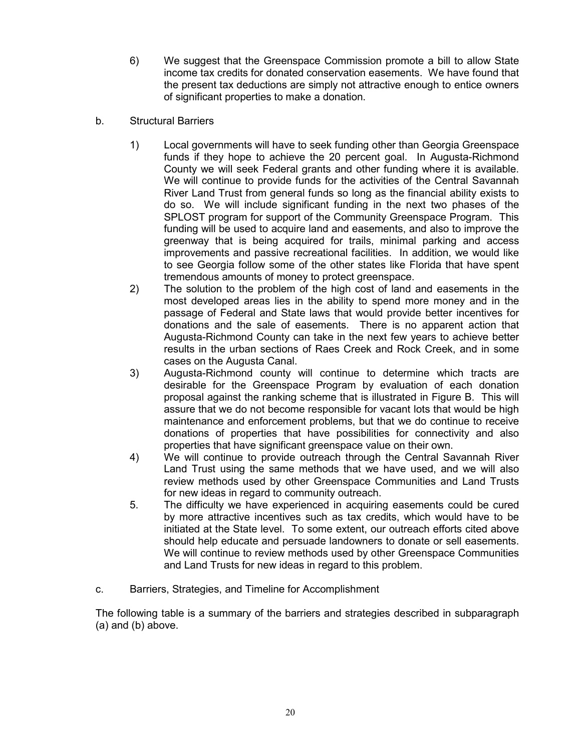- 6) We suggest that the Greenspace Commission promote a bill to allow State income tax credits for donated conservation easements. We have found that the present tax deductions are simply not attractive enough to entice owners of significant properties to make a donation.
- b. Structural Barriers
	- 1) Local governments will have to seek funding other than Georgia Greenspace funds if they hope to achieve the 20 percent goal. In Augusta-Richmond County we will seek Federal grants and other funding where it is available. We will continue to provide funds for the activities of the Central Savannah River Land Trust from general funds so long as the financial ability exists to do so. We will include significant funding in the next two phases of the SPLOST program for support of the Community Greenspace Program. This funding will be used to acquire land and easements, and also to improve the greenway that is being acquired for trails, minimal parking and access improvements and passive recreational facilities. In addition, we would like to see Georgia follow some of the other states like Florida that have spent tremendous amounts of money to protect greenspace.
	- 2) The solution to the problem of the high cost of land and easements in the most developed areas lies in the ability to spend more money and in the passage of Federal and State laws that would provide better incentives for donations and the sale of easements. There is no apparent action that Augusta-Richmond County can take in the next few years to achieve better results in the urban sections of Raes Creek and Rock Creek, and in some cases on the Augusta Canal.
	- 3) Augusta-Richmond county will continue to determine which tracts are desirable for the Greenspace Program by evaluation of each donation proposal against the ranking scheme that is illustrated in Figure B. This will assure that we do not become responsible for vacant lots that would be high maintenance and enforcement problems, but that we do continue to receive donations of properties that have possibilities for connectivity and also properties that have significant greenspace value on their own.
	- 4) We will continue to provide outreach through the Central Savannah River Land Trust using the same methods that we have used, and we will also review methods used by other Greenspace Communities and Land Trusts for new ideas in regard to community outreach.
	- 5. The difficulty we have experienced in acquiring easements could be cured by more attractive incentives such as tax credits, which would have to be initiated at the State level. To some extent, our outreach efforts cited above should help educate and persuade landowners to donate or sell easements. We will continue to review methods used by other Greenspace Communities and Land Trusts for new ideas in regard to this problem.
- c. Barriers, Strategies, and Timeline for Accomplishment

The following table is a summary of the barriers and strategies described in subparagraph (a) and (b) above.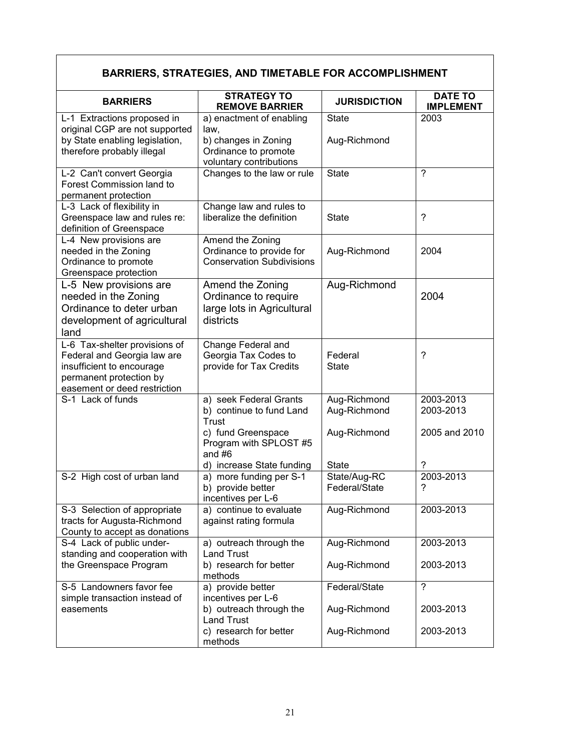| <b>BARRIERS, STRATEGIES, AND TIMETABLE FOR ACCOMPLISHMENT</b>                                                                                        |                                                                                                                    |                                              |                                         |  |
|------------------------------------------------------------------------------------------------------------------------------------------------------|--------------------------------------------------------------------------------------------------------------------|----------------------------------------------|-----------------------------------------|--|
| <b>BARRIERS</b>                                                                                                                                      | <b>STRATEGY TO</b><br><b>REMOVE BARRIER</b>                                                                        | <b>JURISDICTION</b>                          | <b>DATE TO</b><br><b>IMPLEMENT</b>      |  |
| L-1 Extractions proposed in<br>original CGP are not supported<br>by State enabling legislation,<br>therefore probably illegal                        | a) enactment of enabling<br>law,<br>b) changes in Zoning<br>Ordinance to promote<br>voluntary contributions        | <b>State</b><br>Aug-Richmond                 | 2003                                    |  |
| L-2 Can't convert Georgia<br>Forest Commission land to<br>permanent protection                                                                       | Changes to the law or rule                                                                                         | <b>State</b>                                 | $\gamma$                                |  |
| L-3 Lack of flexibility in<br>Greenspace law and rules re:<br>definition of Greenspace                                                               | Change law and rules to<br>liberalize the definition                                                               | <b>State</b>                                 | $\overline{\phantom{0}}$                |  |
| L-4 New provisions are<br>needed in the Zoning<br>Ordinance to promote<br>Greenspace protection                                                      | Amend the Zoning<br>Ordinance to provide for<br><b>Conservation Subdivisions</b>                                   | Aug-Richmond                                 | 2004                                    |  |
| L-5 New provisions are<br>needed in the Zoning<br>Ordinance to deter urban<br>development of agricultural<br>land                                    | Amend the Zoning<br>Ordinance to require<br>large lots in Agricultural<br>districts                                | Aug-Richmond                                 | 2004                                    |  |
| L-6 Tax-shelter provisions of<br>Federal and Georgia law are<br>insufficient to encourage<br>permanent protection by<br>easement or deed restriction | Change Federal and<br>Georgia Tax Codes to<br>provide for Tax Credits                                              | Federal<br><b>State</b>                      | ?                                       |  |
| S-1 Lack of funds                                                                                                                                    | a) seek Federal Grants<br>b) continue to fund Land<br><b>Trust</b><br>c) fund Greenspace<br>Program with SPLOST #5 | Aug-Richmond<br>Aug-Richmond<br>Aug-Richmond | 2003-2013<br>2003-2013<br>2005 and 2010 |  |
|                                                                                                                                                      | and $#6$<br>d) increase State funding                                                                              | <b>State</b>                                 |                                         |  |
| S-2 High cost of urban land                                                                                                                          | a) more funding per S-1<br>b) provide better<br>incentives per L-6                                                 | State/Aug-RC<br>Federal/State                | 2003-2013<br>?                          |  |
| S-3 Selection of appropriate<br>tracts for Augusta-Richmond<br>County to accept as donations                                                         | a) continue to evaluate<br>against rating formula                                                                  | Aug-Richmond                                 | 2003-2013                               |  |
| S-4 Lack of public under-<br>standing and cooperation with<br>the Greenspace Program                                                                 | a) outreach through the<br><b>Land Trust</b><br>b) research for better<br>methods                                  | Aug-Richmond<br>Aug-Richmond                 | 2003-2013<br>2003-2013                  |  |
| S-5 Landowners favor fee<br>simple transaction instead of                                                                                            | a) provide better<br>incentives per L-6                                                                            | Federal/State                                | $\gamma$                                |  |
| easements                                                                                                                                            | b) outreach through the<br><b>Land Trust</b><br>c) research for better<br>methods                                  | Aug-Richmond<br>Aug-Richmond                 | 2003-2013<br>2003-2013                  |  |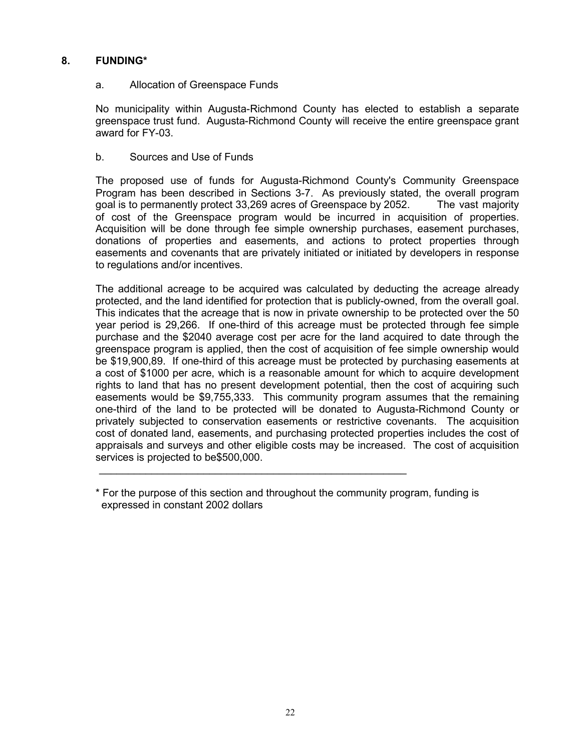# **8. FUNDING\***

## a. Allocation of Greenspace Funds

No municipality within Augusta-Richmond County has elected to establish a separate greenspace trust fund. Augusta-Richmond County will receive the entire greenspace grant award for FY-03.

## b. Sources and Use of Funds

The proposed use of funds for Augusta-Richmond County's Community Greenspace Program has been described in Sections 3-7. As previously stated, the overall program goal is to permanently protect 33,269 acres of Greenspace by 2052. The vast majority of cost of the Greenspace program would be incurred in acquisition of properties. Acquisition will be done through fee simple ownership purchases, easement purchases, donations of properties and easements, and actions to protect properties through easements and covenants that are privately initiated or initiated by developers in response to regulations and/or incentives.

The additional acreage to be acquired was calculated by deducting the acreage already protected, and the land identified for protection that is publicly-owned, from the overall goal. This indicates that the acreage that is now in private ownership to be protected over the 50 year period is 29,266. If one-third of this acreage must be protected through fee simple purchase and the \$2040 average cost per acre for the land acquired to date through the greenspace program is applied, then the cost of acquisition of fee simple ownership would be \$19,900,89. If one-third of this acreage must be protected by purchasing easements at a cost of \$1000 per acre, which is a reasonable amount for which to acquire development rights to land that has no present development potential, then the cost of acquiring such easements would be \$9,755,333. This community program assumes that the remaining one-third of the land to be protected will be donated to Augusta-Richmond County or privately subjected to conservation easements or restrictive covenants. The acquisition cost of donated land, easements, and purchasing protected properties includes the cost of appraisals and surveys and other eligible costs may be increased. The cost of acquisition services is projected to be\$500,000.

\_\_\_\_\_\_\_\_\_\_\_\_\_\_\_\_\_\_\_\_\_\_\_\_\_\_\_\_\_\_\_\_\_\_\_\_\_\_\_\_\_\_\_\_\_\_\_\_\_\_\_\_\_

<sup>\*</sup> For the purpose of this section and throughout the community program, funding is expressed in constant 2002 dollars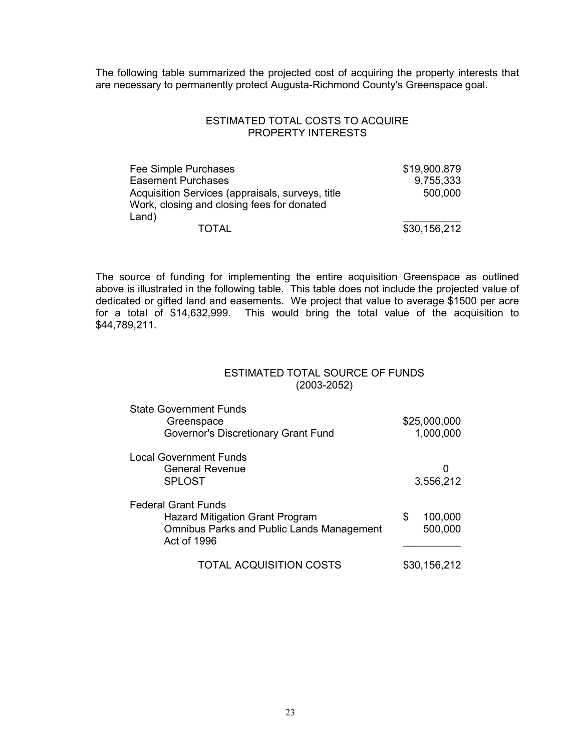The following table summarized the projected cost of acquiring the property interests that are necessary to permanently protect Augusta-Richmond County's Greenspace goal.

#### ESTIMATED TOTAL COSTS TO ACQUIRE PROPERTY INTERESTS

| Fee Simple Purchases                                                                                    | \$19,900.879 |
|---------------------------------------------------------------------------------------------------------|--------------|
| <b>Easement Purchases</b>                                                                               | 9,755,333    |
| Acquisition Services (appraisals, surveys, title<br>Work, closing and closing fees for donated<br>Land) | 500,000      |
| <b>TOTAL</b>                                                                                            | \$30,156,212 |

The source of funding for implementing the entire acquisition Greenspace as outlined above is illustrated in the following table. This table does not include the projected value of dedicated or gifted land and easements. We project that value to average \$1500 per acre for a total of \$14,632,999. This would bring the total value of the acquisition to \$44,789,211.

### ESTIMATED TOTAL SOURCE OF FUNDS (2003-2052)

| <b>State Government Funds</b><br>Greenspace                     |   | \$25,000,000 |
|-----------------------------------------------------------------|---|--------------|
| Governor's Discretionary Grant Fund                             |   | 1,000,000    |
| <b>Local Government Funds</b>                                   |   |              |
| <b>General Revenue</b>                                          |   | Ω            |
| <b>SPLOST</b>                                                   |   | 3,556,212    |
| <b>Federal Grant Funds</b>                                      |   |              |
| <b>Hazard Mitigation Grant Program</b>                          | S | 100,000      |
| <b>Omnibus Parks and Public Lands Management</b><br>Act of 1996 |   | 500,000      |
|                                                                 |   |              |
| <b>TOTAL ACQUISITION COSTS</b>                                  |   | \$30,156,212 |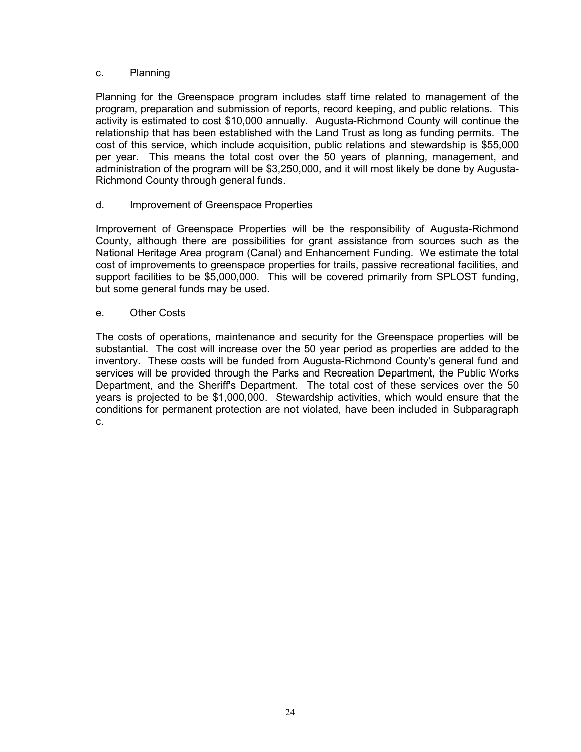## c. Planning

Planning for the Greenspace program includes staff time related to management of the program, preparation and submission of reports, record keeping, and public relations. This activity is estimated to cost \$10,000 annually. Augusta-Richmond County will continue the relationship that has been established with the Land Trust as long as funding permits. The cost of this service, which include acquisition, public relations and stewardship is \$55,000 per year. This means the total cost over the 50 years of planning, management, and administration of the program will be \$3,250,000, and it will most likely be done by Augusta-Richmond County through general funds.

## d. Improvement of Greenspace Properties

Improvement of Greenspace Properties will be the responsibility of Augusta-Richmond County, although there are possibilities for grant assistance from sources such as the National Heritage Area program (Canal) and Enhancement Funding. We estimate the total cost of improvements to greenspace properties for trails, passive recreational facilities, and support facilities to be \$5,000,000. This will be covered primarily from SPLOST funding, but some general funds may be used.

## e. Other Costs

The costs of operations, maintenance and security for the Greenspace properties will be substantial. The cost will increase over the 50 year period as properties are added to the inventory. These costs will be funded from Augusta-Richmond County's general fund and services will be provided through the Parks and Recreation Department, the Public Works Department, and the Sheriff's Department. The total cost of these services over the 50 years is projected to be \$1,000,000. Stewardship activities, which would ensure that the conditions for permanent protection are not violated, have been included in Subparagraph c.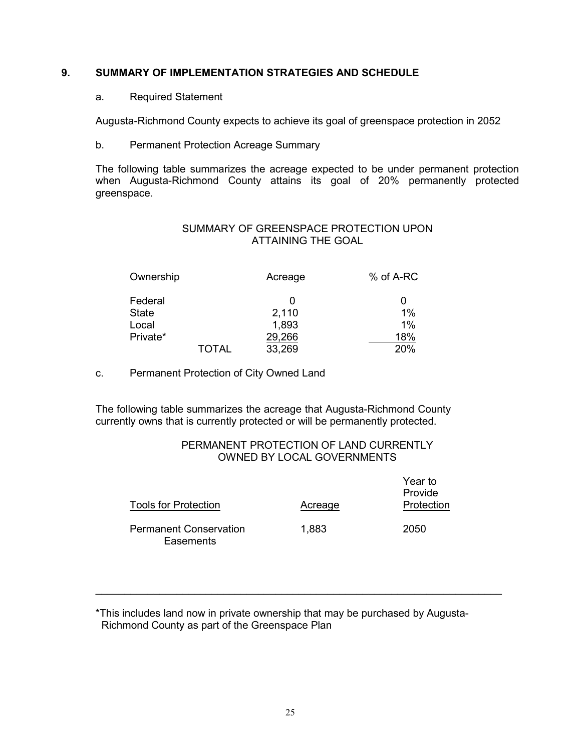# **9. SUMMARY OF IMPLEMENTATION STRATEGIES AND SCHEDULE**

## a. Required Statement

Augusta-Richmond County expects to achieve its goal of greenspace protection in 2052

b. Permanent Protection Acreage Summary

The following table summarizes the acreage expected to be under permanent protection when Augusta-Richmond County attains its goal of 20% permanently protected greenspace.

# SUMMARY OF GREENSPACE PROTECTION UPON ATTAINING THE GOAL

| Ownership |              | Acreage | % of A-RC |
|-----------|--------------|---------|-----------|
| Federal   |              |         | 0         |
| State     |              | 2,110   | 1%        |
| Local     |              | 1,893   | 1%        |
| Private*  |              | 29,266  | 18%       |
|           | <b>TOTAL</b> | 33,269  | 20%       |

c. Permanent Protection of City Owned Land

The following table summarizes the acreage that Augusta-Richmond County currently owns that is currently protected or will be permanently protected.

# PERMANENT PROTECTION OF LAND CURRENTLY OWNED BY LOCAL GOVERNMENTS

| <b>Tools for Protection</b>                | Acreage | Year to<br>Provide<br>Protection |
|--------------------------------------------|---------|----------------------------------|
| <b>Permanent Conservation</b><br>Easements | 1,883   | 2050                             |

\_\_\_\_\_\_\_\_\_\_\_\_\_\_\_\_\_\_\_\_\_\_\_\_\_\_\_\_\_\_\_\_\_\_\_\_\_\_\_\_\_\_\_\_\_\_\_\_\_\_\_\_\_\_\_\_\_\_\_\_\_\_\_\_\_\_\_\_\_\_

<sup>\*</sup>This includes land now in private ownership that may be purchased by Augusta- Richmond County as part of the Greenspace Plan